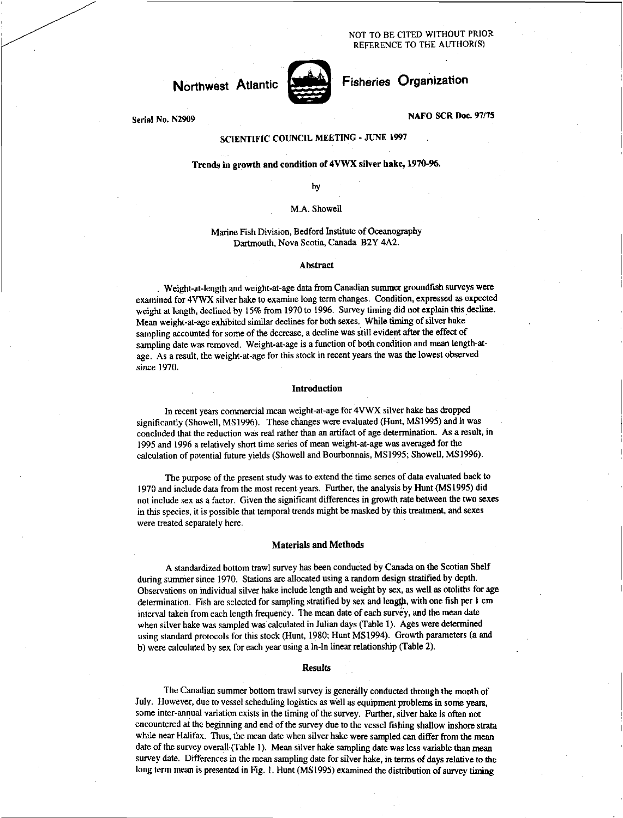NOT TO BE CITED WITHOUT PRIOR REFERENCE TO THE AUTHOR(S)

# **Northwest** Atlantic



# Fisheries Organization

**NAFO SCR Doc. 97/75** 

**Serial No. N2909** 

# **SCIENTIFIC COUNCIL MEETING - JUNE 1997**

## **Trends in growth and condition of 4VWX silver hake, 1970-96.**

by

#### M.A. Showell

#### Marine Fish Division, Bedford Institute of Oceanography Dartmouth, Nova Scotia, Canada B2Y 4A2.

#### **Abstract**

. Weight-at-length and weight-at-age data from Canadian summer groundfish surveys were examined for 4VWX silver hake to examine long term changes. Condition, expressed as expected weight at length, declined by 15% from 1970 to 1996. Survey timing did not explain this decline. Mean weight-at-age exhibited similar declines for both sexes. While timing of silver hake sampling accounted for some of the decrease, a decline was still evident after the effect of sampling date was removed. Weight-at-age is a function of both condition and mean length-atage. As a result, the weight-at-age for this stock in recent years the was the lowest observed *since 1970.* 

#### **Introduction**

In recent years commercial mean weight-at-age for 4VWX silver hake has dropped significantly (Showell, MS1996). These changes were evaluated (Hunt, MS1995) and it was concluded that the reduction was real rather than an artifact of age determination. As a result, in 1995 and 1996 a relatively short time series of mean weight-at-age was averaged for the calculation of potential future yields (Showell and Bourbonnais, MS1995; Showell, MS1996).

The purpose of the present study was to extend the time series of data evaluated back to 1970 and include data from the most recent years. Further, the analysis by Hunt (MS 1995) did not include sex as a factor. Given the significant differences in growth rate between the two sexes in this species, it is possible that temporal trends might be masked by this treatment, and sexes were treated separately here.

#### **Materials and Methods**

A standardized bottom trawl survey has been conducted by Canada on the Scotian Shelf during summer since 1970. Stations are allocated using a random design stratified by depth. Observations on individual silver hake include length and weight by sex, as well as otoliths for age determination. Fish are selected for sampling stratified by sex and length, with one fish per 1 cm interval taken from each length frequency. The mean date of each survey, and the mean date when silver hake was sampled was calculated in Julian days (Table 1). **Ages** were determined using standard protocols for this stock (Hunt, 1980; Hunt MS1994). Growth parameters (a and b) were calculated by sex for each year using a In-In linear relationship (Table 2).

#### **Results**

The Canadian summer bottom trawl survey is generally conducted through the month of July. However, due to vessel scheduling logistics as well as equipment problems in some years, some inter-annual variation exists in the timing of the survey. Further, silver hake is often not encountered at the beginning and end of the survey due to the vessel fishing shallow inshore strata while near Halifax. Thus, the mean date when silver hake were sampled can differ from the mean date of the survey overall (Table 1). Mean silver hake sampling date was less variable than mean survey date. Differences in the mean sampling date for silver hake, in terms of days relative to the long term mean is presented in Fig. 1. Hunt (MS1995) examined the distribution of survey timing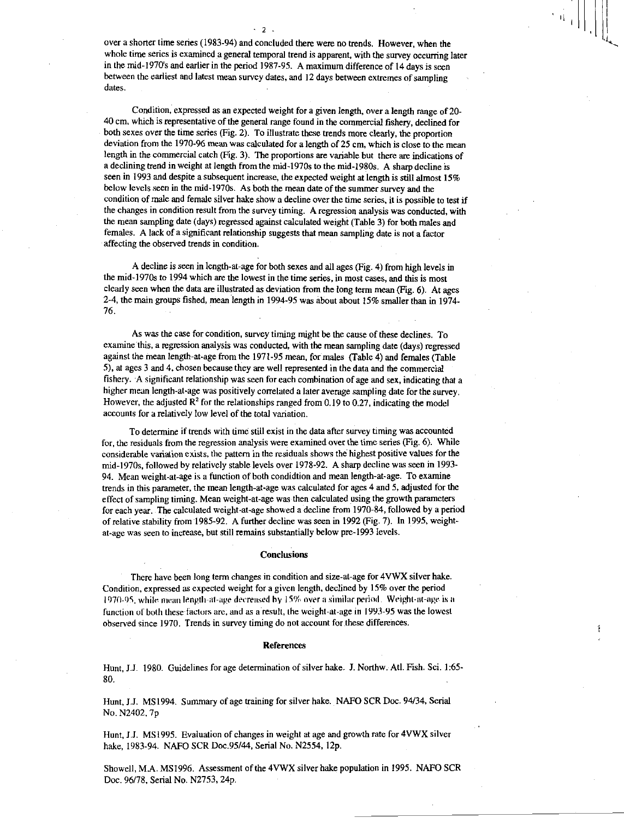over a shorter time series (1983-94) and concluded there were no trends. However, when the whole time series is examined a general temporal trend is apparent, with the survey occurring later in the mid-1970's and earlier in the period 1987-95. A maximum difference of 14 days is seen between the earliest and latest mean survey dates, and 12 days between extremes of sampling dates.

-2

Condition, expressed as an expected weight for a given length, over a length range of 20- 40 cm, which is representative of the general range found in the commercial fishery, declined for both sexes over the time series (Fig. 2). To illustrate these trends more clearly, the proportion deviation from the 1970-96 mean was calculated for a length of 25 cm, which is close to the mean length in the commercial catch (Fig. 3). The proportions are variable but there are indications of a declining trend in weight at length from the mid-1970s to the mid-I980s. A sharp decline is seen in 1993 and despite a subsequent increase, the expected weight at length is still almost 15% below levels seen in the mid-1970s. As both the mean date of the summer survey and the condition of male and female silver hake show a decline over the time series, it is possible to test if the changes in condition result from the survey timing. A regression analysis was conducted, with the mean sampling date (days) regressed against calculated weight (Table 3) for both males and females. A lack of a significant relationship suggests that mean sampling date is not a factor affecting the observed trends in condition.

A decline is seen in length-at-age for both sexes and all ages (Fig. 4) from high levels in the mid-1970s to 1994 which are the lowest in the time series, in most cases, and this is most clearly seen when the data are illustrated as deviation from the long term mean (Fig. 6). At ages 2-4, the main groups fished, mean length in 1994-95 was about about 15% smaller than in 1974- 76.

As was the case for condition, survey timing might be the cause of these declines. To examine this, a regression analysis was conducted, with the mean sampling date (days) regressed against the mean length-at-age from the 1971-95 mean, for males (Table 4) and females (Table 5), at ages 3 and 4, chosen because they are well represented in the data and the commercial fishery. A significant relationship was seen for each combination of age and sex, indicating that a higher mean length-at-age was positively correlated a later average sampling date for the survey. However, the adjusted  $\mathbb{R}^2$  for the relationships ranged from 0.19 to 0.27, indicating the model accounts for a relatively low level of the total variation.

To determine if trends with time still exist in the data after survey timing was accounted for, the residuals from the regression analysis were examined over the time series (Fig. 6). While considerable variation exists, the pattern in the residuals shows the highest positive values for the mid-1970s, followed by relatively stable levels over 1978-92. A sharp decline was seen in 1993- 94. Mean weight-at-age is a function of both condidtion and mean length-at-age. To examine trends in this parameter, the mean length-at-age was calculated for ages 4 and 5, adjusted for the effect of sampling timing. Mean weight-at-age was then calculated using the growth parameters for each year. The calculated weight-at-age showed a decline from 1970-84, followed by a period of relative stability from 1985-92. A further decline was seen in 1992 (Fig. 7). In 1995, weightat-age was seen to increase, but still remains substantially below pre-1993 levels.

#### **Conclusions**

There have been long term changes in condition and size-at-age for 4VVVX silver hake. Condition, expressed as expected weight for a given length, declined by 15% over the period 1970-95, while mean length-at-age decreased by 15% over a similar period. Weight-at-age is a function of both these factors are, and as a result, the weight-at-age in 1993-95 was the lowest observed since 1970. Trends in survey timing do not account for these differences.

#### References

Hunt, J.J. 1980. Guidelines for age determination of silver hake. J. Northw. Atl. Fish. Sci. 1:65- 80.

Hunt, J.J. MS1994. Summary of age training for silver hake. NAFO SCR Doc. 94/34, Serial No. N2402, 7p

Hunt, J.J. MS 1995. Evaluation of changes in weight at age and growth rate for 4VWX silver hake, 1983-94. NAFO SCR Doc.95/44, Serial No. N2554, 12p.

Showell, M.A. MSI996. Assessment of the 4V1VX silver hake population in 1995. NAFO SCR Doc. 96/78, Serial No. N2753, 24p.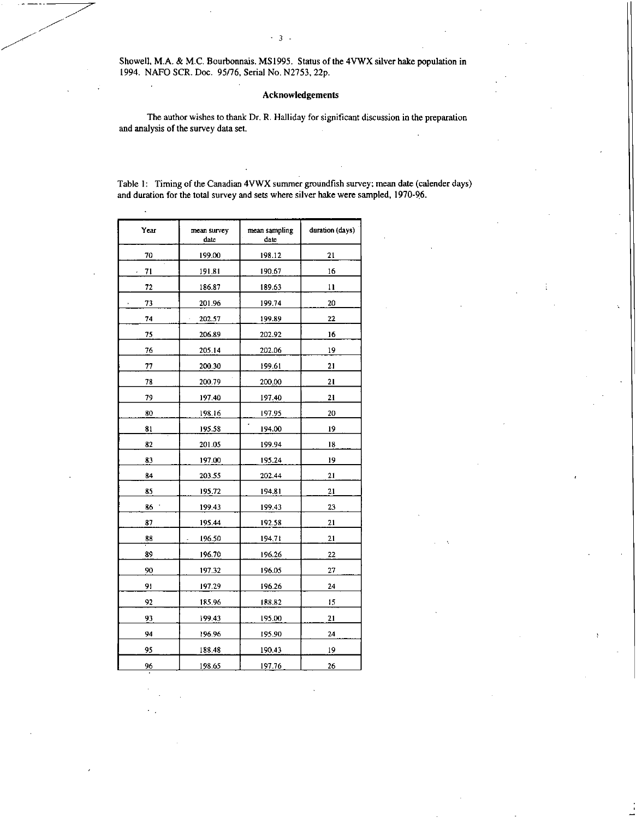Showell, M.A. & M.C. Bourbonnais. MS1995. Status of the 4VWX silver hake population in 1994. NAFO SCR. Doc. 95/76, Serial No. N2753, 22p.

### Acknowledgements

The author wishes to thank Dr. R. Halliday for significant discussion in the preparation and analysis of the survey data set.

Table 1: Timing of the Canadian 4VWX summer groundfish survey; mean date (calender days) and duration for the total survey and sets where silver hake were sampled, 1970-96.

| Year | mean survey<br>date | mean sampling<br>date | duration (days) |
|------|---------------------|-----------------------|-----------------|
| 70   | 199.00              | 198.12                | 21              |
| 71   | 191.81              | 190.67                | 16              |
| 72   | 186.87              | 189.63                | 11              |
| 73   | 201.96              | 199.74                | 20              |
| 74   | 202.57              | 199.89                | $\overline{22}$ |
| 75   | 206.89              | 202.92                | 16              |
| 76   | 205.14              | 202.06                | 19              |
| 77   | 200.30              | 199.61                | 21              |
| 78   | 200.79              | 200.00                | $\overline{21}$ |
| 79   | 197 40              | 197.40                | 21              |
| 80   | 198.16              | 197.95                | 20              |
| 81   | 195.58              | ,<br>194.00           | 19              |
| 82   | 201.05              | 199.94                | 18              |
| 83   | 197.00              | 195.24                | 19              |
| 84   | 203.55              | 202.44                | 21              |
| 85   | 195.72              | 194.81                | 21              |
| 86   | 199.43              | 199.43                | 23              |
| 87   | 195.44              | 192.58                | 21              |
| 88   | 196.50              | 194.71                | 21              |
| 89   | 196.70              | 196.26                | 22              |
| 90   | 197.32              | 196.05                | 27              |
| 91   | 197.29              | 196.26                | 24              |
| 92   | 185.96              | 188,82                | 15              |
| 93   | 199.43              | 195.00                | 21              |
| 94   | 196.96              | 195.90                | 24              |
| 95   | 188.48              | 190.43                | 19              |
| 96   | 198.65              | 197.76                | 26              |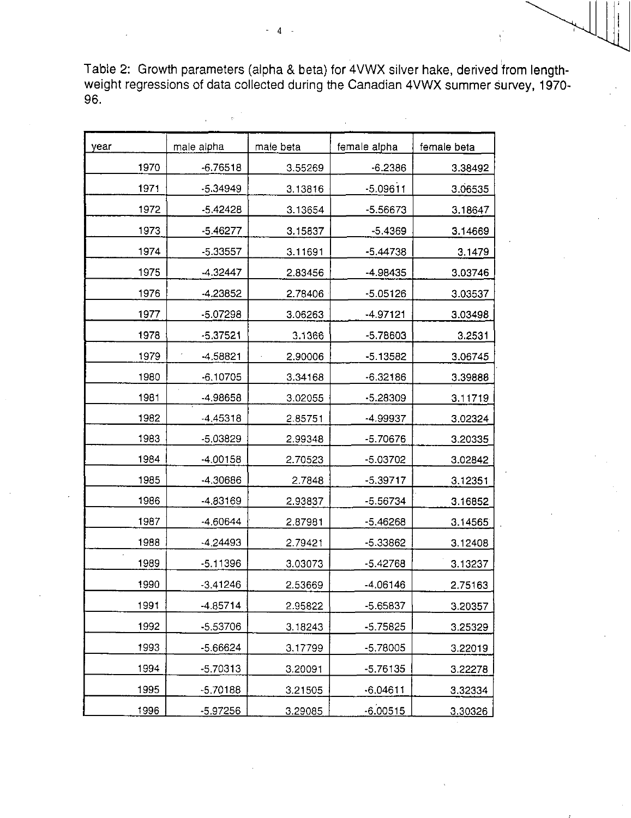Table 2: Growth parameters (alpha & beta) for 4VWX silver hake, derived from lengthweight regressions of data collected during the Canadian 4VWX summer survey, 1970- 96.

| year | male alpha | male beta | female alpha | female beta |
|------|------------|-----------|--------------|-------------|
| 1970 | $-6.76518$ | 3.55269   | $-6.2386$    | 3.38492     |
| 1971 | $-5.34949$ | 3.13816   | $-5.09611$   | 3.06535     |
| 1972 | $-5.42428$ | 3.13654   | $-5.56673$   | 3.18647     |
| 1973 | $-5.46277$ | 3.15837   | $-5.4369$    | 3.14669     |
| 1974 | -5.33557   | 3.11691   | -5.44738     | 3.1479      |
| 1975 | $-4.32447$ | 2.83456   | -4.98435     | 3.03746     |
| 1976 | $-4.23852$ | 2.78406   | $-5.05126$   | 3.03537     |
| 1977 | -5.07298   | 3.06263   | $-4.97121$   | 3.03498     |
| 1978 | $-5.37521$ | 3.1366    | -5.78603     | 3.2531      |
| 1979 | $-4.58821$ | 2.90006   | $-5.13582$   | 3.06745     |
| 1980 | $-6.10705$ | 3.34168   | $-6.32186$   | 3.39888     |
| 1981 | -4.98658   | 3.02055   | $-5.28309$   | 3.11719     |
| 1982 | -4.45318   | 2.85751   | -4.99937     | 3.02324     |
| 1983 | $-5.03829$ | 2.99348   | -5.70676     | 3.20335     |
| 1984 | $-4,00158$ | 2.70523   | -5.03702     | 3.02842     |
| 1985 | -4.30686   | 2.7848    | $-5.39717$   | 3.12351     |
| 1986 | -4.83169   | 2.93837   | $-5.56734$   | 3.16852     |
| 1987 | -4.60644   | 2.87981   | $-5.46268$   | 3.14565     |
| 1988 | $-4.24493$ | 2.79421   | $-5.33862$   | 3.12408     |
| 1989 | $-5.11396$ | 3.03073   | $-5.42768$   | 3.13237     |
| 1990 | $-3.41246$ | 2.53669   | $-4.06146$   | 2.75163     |
| 1991 | -4.85714   | 2.95822   | -5.65837     | 3.20357     |
| 1992 | -5.53706   | 3.18243   | $-5.75825$   | 3.25329     |
| 1993 | -5.66624   | 3.17799   | $-5.78005$   | 3.22019     |
| 1994 | $-5.70313$ | 3.20091   | $-5.76135$   | 3.22278     |
| 1995 | $-5.70188$ | 3.21505   | $-6.04611$   | 3.32334     |
| 1996 | -5.97256   | 3.29085   | $-6.00515$   | 3.30326     |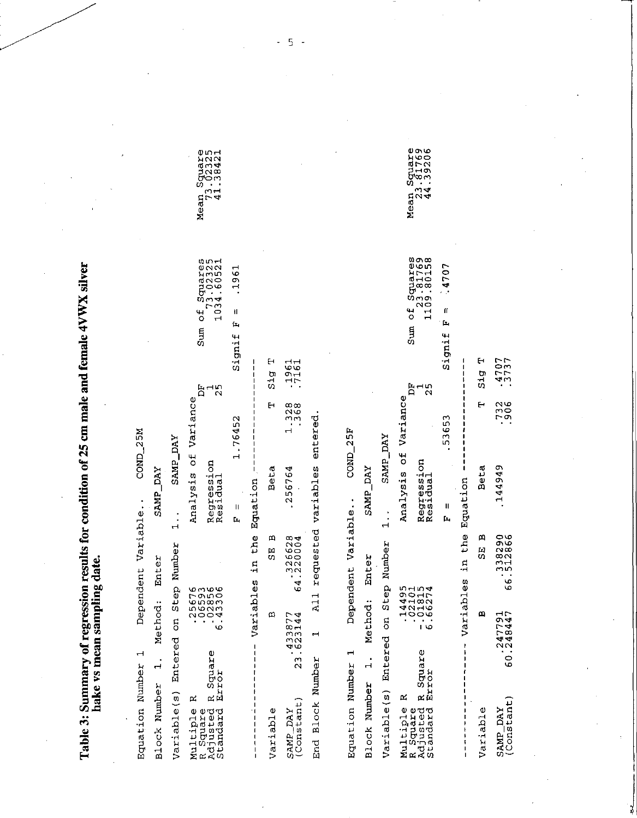Table 3: Summary of regression results for condition of 25 cm male and female 4VWX silver hake vs mean sampling date.

Sum of Squares<br>23.81769<br>1109.80158 Sum of Squares<br>73.02325<br>1034.60521 .1961  $-4707$  $\mathbf{u}$  $\mathbf{I}$ Signif F  $\overline{\mathbf{r}}$ Signif .3737 H 1361  $\mathbf{H}$  $51g$ 51g  $\frac{1}{2}$ Ĕ  $\frac{1}{2}$ F Analysis of Variance Analysis of Variance .7306  $1.328$  $\mathbf{H}$ E entered .53653 1.76452 COND<sub>25F</sub> COND\_25M SAMP\_DAY SAMP\_DAY Regression<br>Residual Regression<br>Residual All requested variables 144949 256764 t Beta Beta **SAMP\_DAY** SAMP\_DAY Variables in the Equation in the Equation Dependent Variable.. Dependent Variable..  $\mathbf{I}$  $\mathbf{u}$  $\frac{1}{1}$  $\frac{1}{1}$ Ĺ.  $\mathbf{\mu}$ SE<sub>B</sub> SE B 4.326628 66.512866 Variable(s) Entered on Step Number Variable(s) Entered on Step Number Method: Enter Enter Variables  $-14495$ <br> $-02101$ <br> $-01815$ <br> $-01815$ <br> $-01815$ -25676<br>--25856<br>--22356<br>--43386 Method:  $\mathbf a$ 60.247791<br>60.248447 ω 23.623144 ٩C  $\blacksquare$ Multiple R<br>R Square<br>Adjusted R Square<br>Standard Error Ï R Square<br>Error Equation Number 1 Equation Number 1  $1.$  $\ddot{ }$ End Block Number Block Number **Block Number**  $\mathbf{r}$ SAMP\_DAY<br>(Constant) (Constant) Multiple B<br>R Square<br>Adjusted B<br>Standard Variable Variable SAMP\_DAY  $\frac{1}{1}$ 

Mean Square<br>73.02325<br>41.38421

Mean Square<br>23.81769<br>44.39206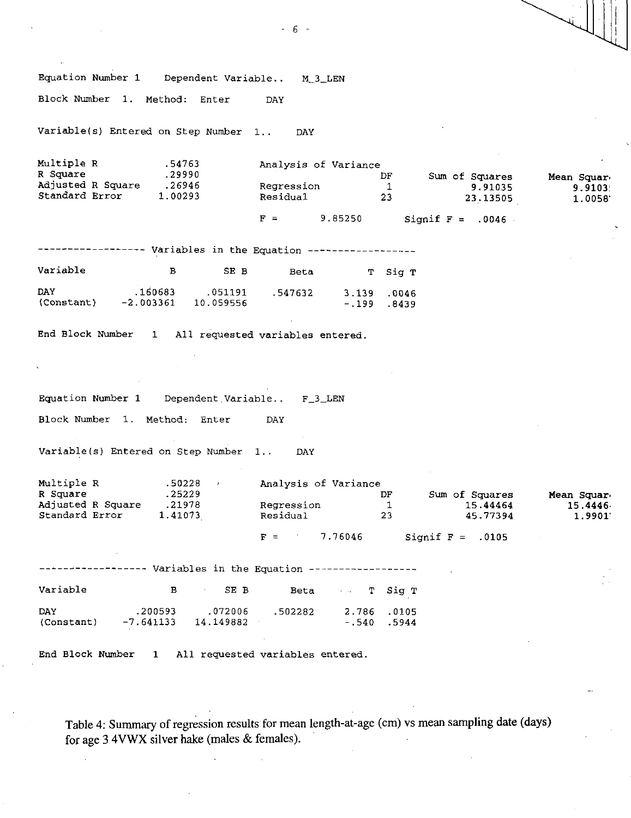Equation Number 1 Dependent Variable.. M\_3\_LEN Block Number 1. Method: Enter DAY Variable(s) Entered on Step Number 1.. DAY Multiple R .54763<br>R Square .29990 R Square Adjusted R Square .26946 Standard Error 1.00293 Analysis of Variance DF Sum of Squares<br>1 9.91035 Regression 1<br>Residual 23 23 . 13505 Mean Squar. 9.9103' 1.0058'  $F =$  9.85250 Signif  $F = .0046$ ------------- Variables in the Equation -----------------Variable B SE B Beta T Sig T DAY .160683 .051191 .547632 3.139 .0046 (Constant) -2.003361 10.059556 -.199 .8439 End Block Number 1 All requested variables entered. Equation Number 1 Dependent Variable.. F\_3\_LEN Block Number 1. Method: Enter DAY Variable(s) Entered on Step Number 1.. DAY Multiple R .50228 , Analysis of Variance<br>R Square .25229 .25229 DF A Sum of Squares are Mean Square .25229<br>A Regression 1 21978 15.44464 15.44464 15.4446. Adjusted R Square 1978 Regression 1 15.44464 15.44464 15.44464 15.44464 15.44464 15.44464 15.44464 15.9901.<br>1.9901 1.9901 Residual 23 15.77394 1.9901. Standard Error  $F =$  7.76046 Signif  $F = .0105$ ----------- Variables in the Equation -----------------Variable B SE B Beta T Sig T DAY .200593 .072006 .502282 2.786 .0105 (Constant) -7.641133 14.149882 -.540 .5944 End Block Number 1 All requested variables entered.

Table 4: Summary of regression results for mean length-at-age (cm) vs mean sampling date (days) for age 3 4VWX silver hake (males & females).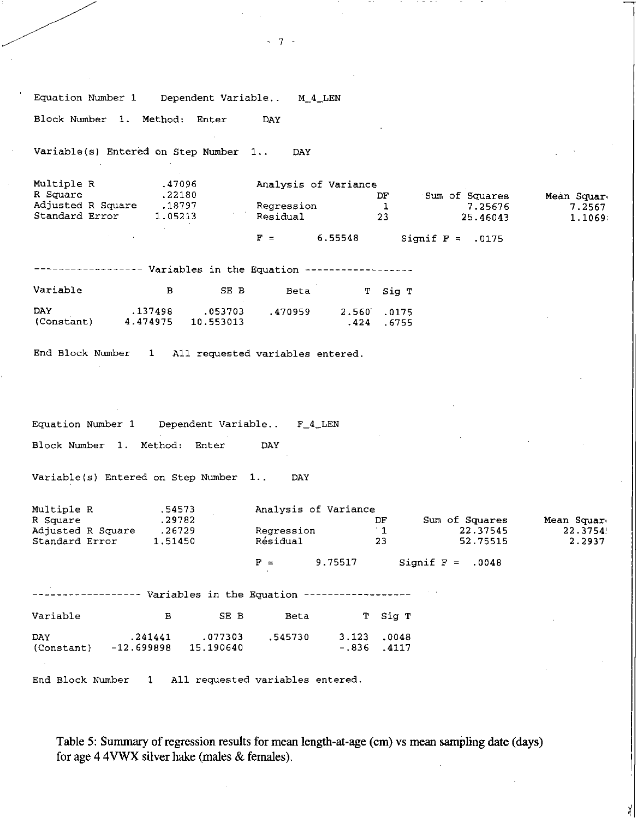Equation Number 1 Dependent Variable.. M\_4\_LEN Block Number 1. Method: Enter DAY Variable(s) Entered on Step Number 1.. DAY Multiple R .47096 Analysis of Variance<br>R Square .22180 1 R Square .22180 DF Sum of Squares Mean Squar. Adjusted R Square .18797 Regression 1 7.25676 7.2567 Standard Error 1.05213 Residual 23 25.46043 1.1069;  $F = 6.55548$  Signif  $F = .0175$ ------------ Variables in the Equation ------------------Variable B SE B Beta T Sig T DAY .137498 .053703 .470959 2.560 .0175 (Constant) 4.474975 10.553013 .424 .6755 End Block Number 1 All requested variables entered. Equation Number 1 Dependent Variable.. F\_4\_LEN Block Number 1. Method: Enter DAY Variable(s) Entered on Step Number 1.. DAY Multiple R .54573 Analysis of Variance<br>R Square .29782 DF .29782 DF Sum of Squares Mean Squar,<br>22.37541 22.37545 22.3754 Adjusted R Square .26729 Regression 1 22.37545 22.3754! Standard Error  $F =$  9.75517 Signif F = .0048 ----------- Variables in the Equation -----------------Variable B SE B Beta T Sig T DAY .241441 .077303 .545730 3.123 .0048 (Constant) -12.699898 15.190640 -.836 .4117 End Block Number 1 All requested variables entered.

 $-7 -$ 

Table 5: Summary of regression results for mean length-at-age (cm) vs mean sampling date (days) for age 4 4VWX silver hake (males & females).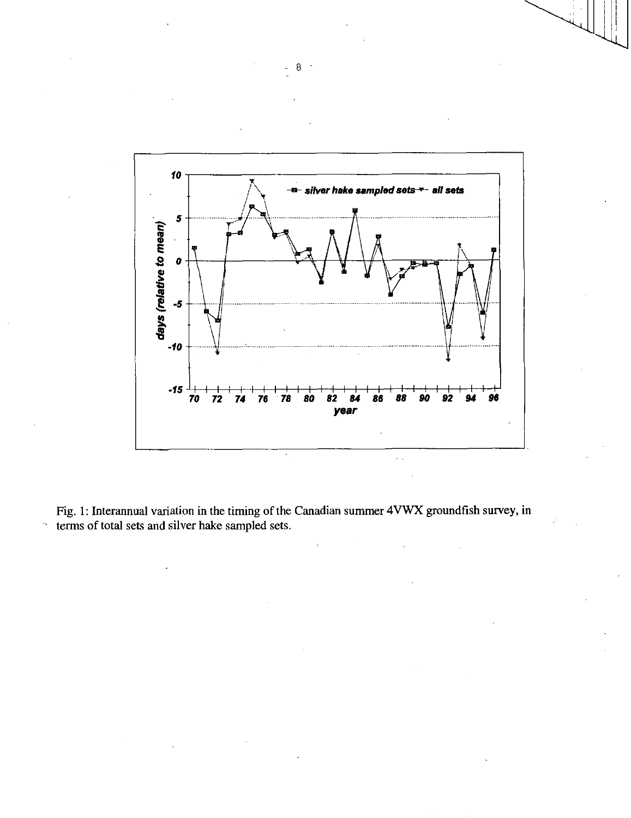

Fig. 1: Interannual variation in the timing of the Canadian summer 4VWX groundfish survey, in terms of total sets and silver hake sampled sets.

 $\tilde{\mathcal{S}}$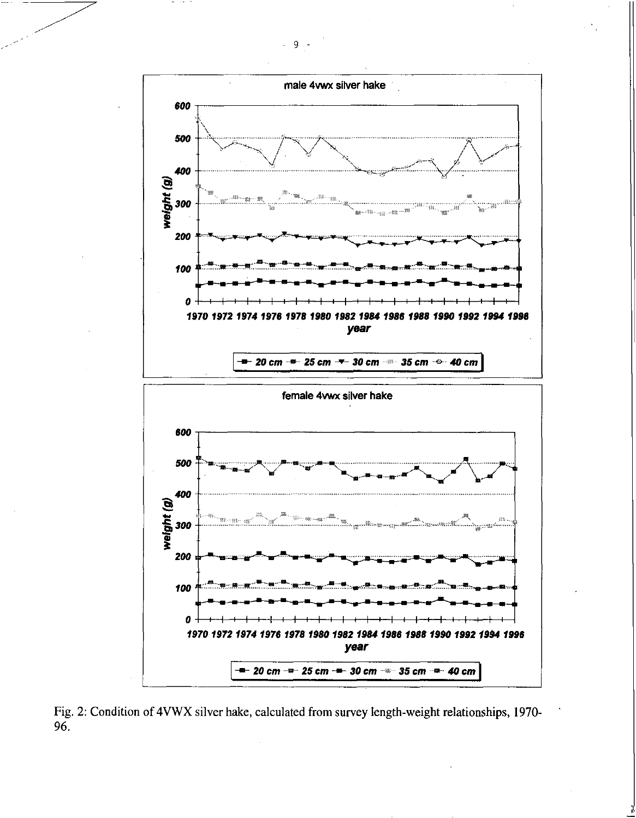

Fig. 2: Condition of 4VWX silver hake, calculated from survey length-weight relationships, 1970- $96.$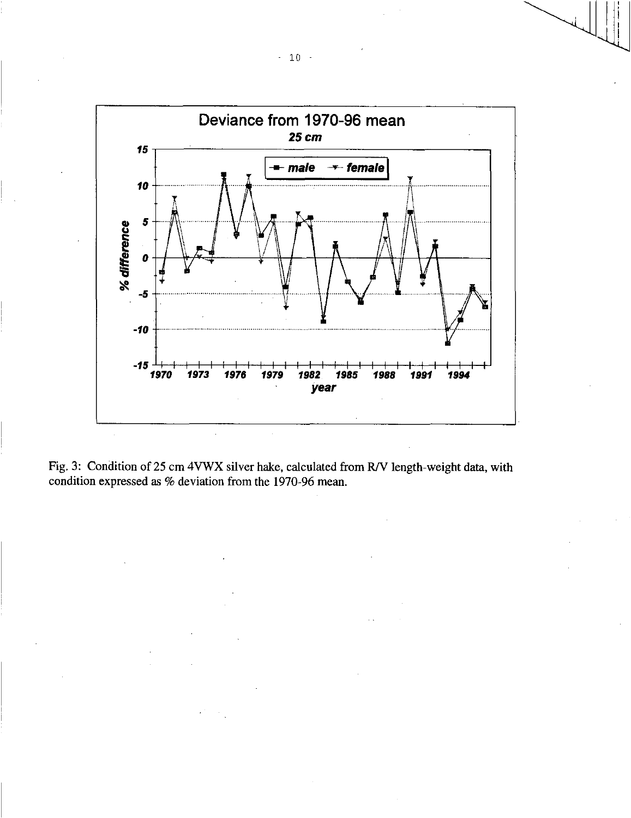

Fig. 3: Condition of 25 cm 4VWX silver hake, calculated from R/V length-weight data, with condition expressed as % deviation from the 1970-96 mean.

 $-10 -$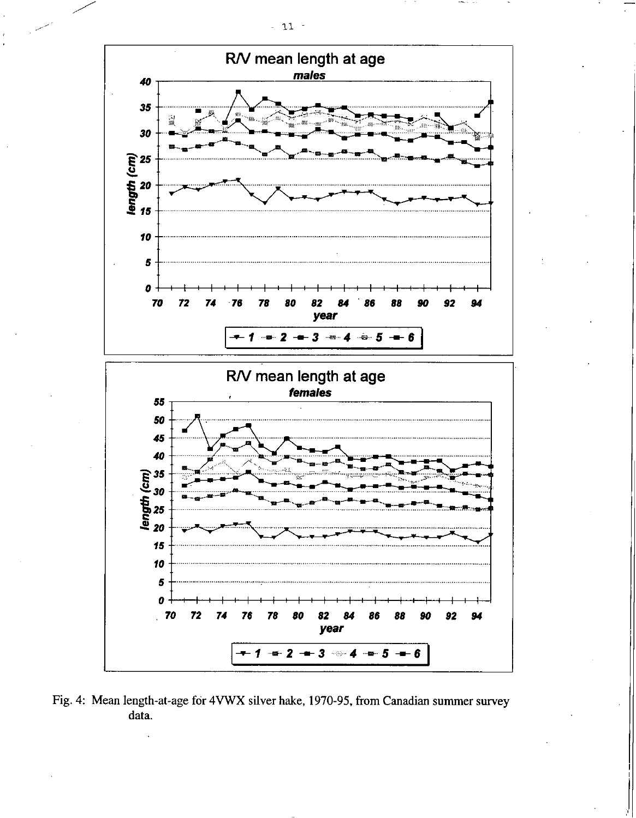

Fig. 4: Mean length-at-age for 4VWX silver hake, 1970-95, from Canadian summer survey data.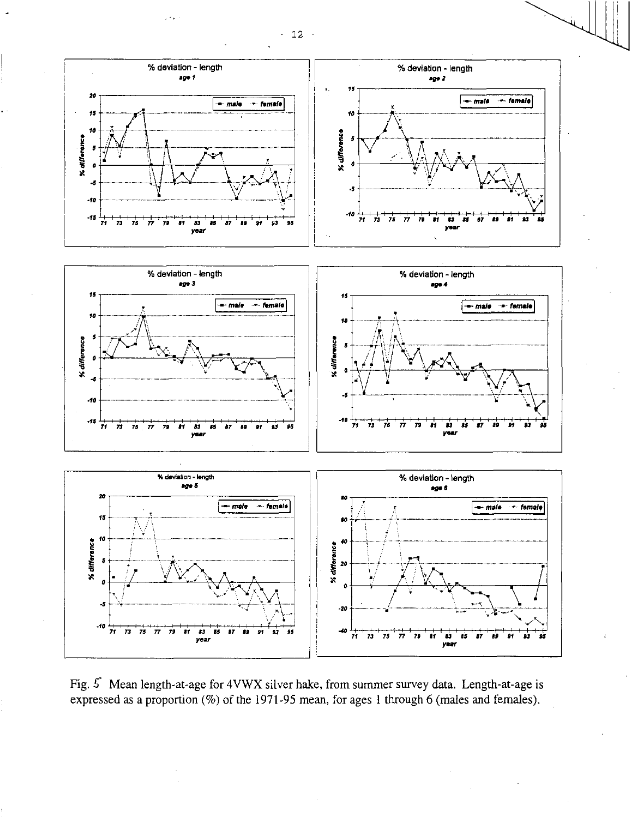

Fig.  $5$  Mean length-at-age for 4VWX silver hake, from summer survey data. Length-at-age is expressed as a proportion (%) of the 1971-95 mean, for ages 1 through 6 (males and females).

 $-12 -$ 

 $\mathcal{L}(\mathcal{S})$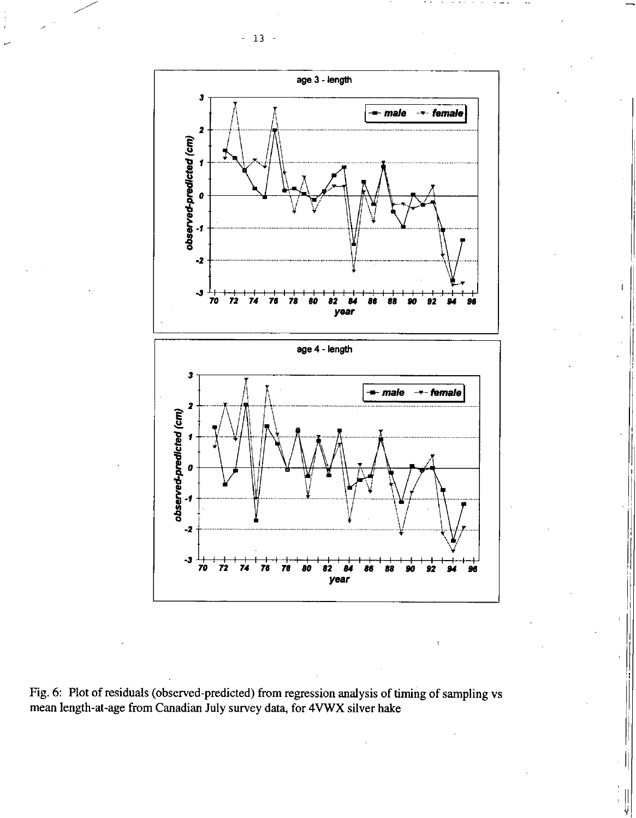



Fig. 6: Plot of residuals (observed-predicted) from regression analysis of timing of sampling vs mean length-at-age from Canadian July survey data, for 4VWX silver hake